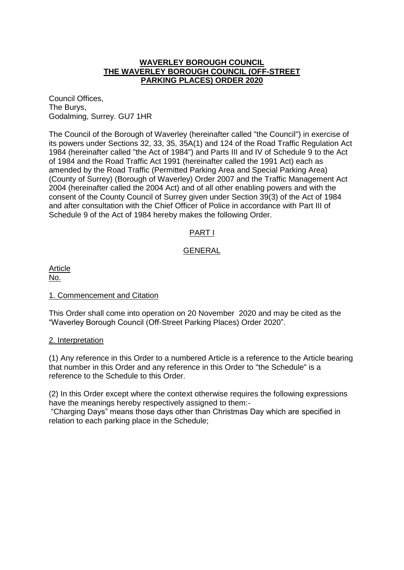## **WAVERLEY BOROUGH COUNCIL THE WAVERLEY BOROUGH COUNCIL (OFF-STREET PARKING PLACES) ORDER 2020**

Council Offices, The Burys, Godalming, Surrey. GU7 1HR

The Council of the Borough of Waverley (hereinafter called "the Council") in exercise of its powers under Sections 32, 33, 35, 35A(1) and 124 of the Road Traffic Regulation Act 1984 (hereinafter called "the Act of 1984") and Parts III and IV of Schedule 9 to the Act of 1984 and the Road Traffic Act 1991 (hereinafter called the 1991 Act) each as amended by the Road Traffic (Permitted Parking Area and Special Parking Area) (County of Surrey) (Borough of Waverley) Order 2007 and the Traffic Management Act 2004 (hereinafter called the 2004 Act) and of all other enabling powers and with the consent of the County Council of Surrey given under Section 39(3) of the Act of 1984 and after consultation with the Chief Officer of Police in accordance with Part III of Schedule 9 of the Act of 1984 hereby makes the following Order.

# PART I

## GENERAL

Article No.

## 1. Commencement and Citation

This Order shall come into operation on 20 November 2020 and may be cited as the "Waverley Borough Council (Off-Street Parking Places) Order 2020".

#### 2. Interpretation

(1) Any reference in this Order to a numbered Article is a reference to the Article bearing that number in this Order and any reference in this Order to "the Schedule" is a reference to the Schedule to this Order.

(2) In this Order except where the context otherwise requires the following expressions have the meanings hereby respectively assigned to them:-

"Charging Days" means those days other than Christmas Day which are specified in relation to each parking place in the Schedule;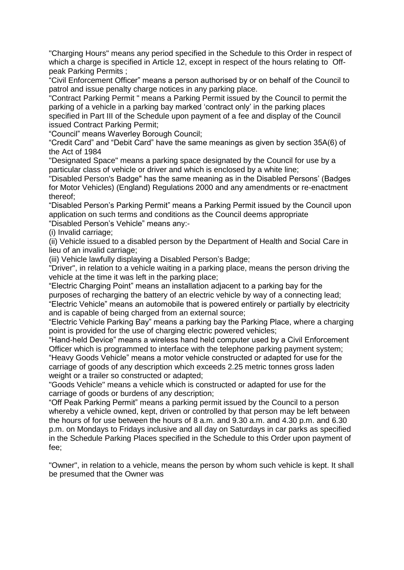"Charging Hours" means any period specified in the Schedule to this Order in respect of which a charge is specified in Article 12, except in respect of the hours relating to Offpeak Parking Permits ;

"Civil Enforcement Officer" means a person authorised by or on behalf of the Council to patrol and issue penalty charge notices in any parking place.

"Contract Parking Permit " means a Parking Permit issued by the Council to permit the parking of a vehicle in a parking bay marked 'contract only' in the parking places specified in Part III of the Schedule upon payment of a fee and display of the Council issued Contract Parking Permit;

"Council" means Waverley Borough Council;

"Credit Card" and "Debit Card" have the same meanings as given by section 35A(6) of the Act of 1984

"Designated Space" means a parking space designated by the Council for use by a particular class of vehicle or driver and which is enclosed by a white line;

"Disabled Person's Badge" has the same meaning as in the Disabled Persons' (Badges for Motor Vehicles) (England) Regulations 2000 and any amendments or re-enactment thereof;

"Disabled Person's Parking Permit" means a Parking Permit issued by the Council upon application on such terms and conditions as the Council deems appropriate "Disabled Person's Vehicle" means any:-

(i) Invalid carriage;

(ii) Vehicle issued to a disabled person by the Department of Health and Social Care in lieu of an invalid carriage;

(iii) Vehicle lawfully displaying a Disabled Person's Badge;

"Driver", in relation to a vehicle waiting in a parking place, means the person driving the vehicle at the time it was left in the parking place;

"Electric Charging Point" means an installation adjacent to a parking bay for the purposes of recharging the battery of an electric vehicle by way of a connecting lead; "Electric Vehicle" means an automobile that is powered entirely or partially by electricity and is capable of being charged from an external source;

"Electric Vehicle Parking Bay" means a parking bay the Parking Place, where a charging point is provided for the use of charging electric powered vehicles;

"Hand-held Device" means a wireless hand held computer used by a Civil Enforcement Officer which is programmed to interface with the telephone parking payment system;

"Heavy Goods Vehicle" means a motor vehicle constructed or adapted for use for the carriage of goods of any description which exceeds 2.25 metric tonnes gross laden weight or a trailer so constructed or adapted:

"Goods Vehicle" means a vehicle which is constructed or adapted for use for the carriage of goods or burdens of any description;

"Off Peak Parking Permit" means a parking permit issued by the Council to a person whereby a vehicle owned, kept, driven or controlled by that person may be left between the hours of for use between the hours of 8 a.m. and 9.30 a.m. and 4.30 p.m. and 6.30 p.m. on Mondays to Fridays inclusive and all day on Saturdays in car parks as specified in the Schedule Parking Places specified in the Schedule to this Order upon payment of fee;

"Owner", in relation to a vehicle, means the person by whom such vehicle is kept. It shall be presumed that the Owner was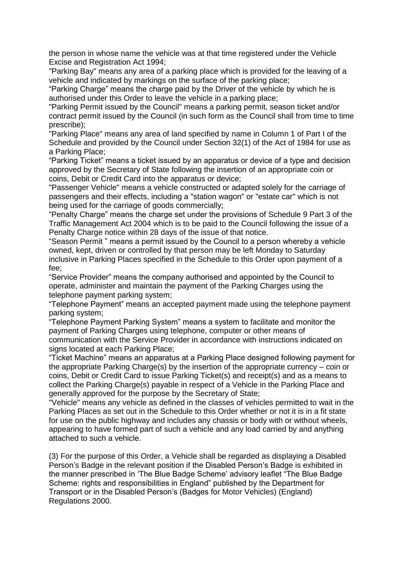the person in whose name the vehicle was at that time registered under the Vehicle Excise and Registration Act 1994;

"Parking Bay" means any area of a parking place which is provided for the leaving of a vehicle and indicated by markings on the surface of the parking place;

"Parking Charge" means the charge paid by the Driver of the vehicle by which he is authorised under this Order to leave the vehicle in a parking place;

"Parking Permit issued by the Council" means a parking permit, season ticket and/or contract permit issued by the Council (in such form as the Council shall from time to time prescribe);

"Parking Place" means any area of land specified by name in Column 1 of Part I of the Schedule and provided by the Council under Section 32(1) of the Act of 1984 for use as a Parking Place;

"Parking Ticket" means a ticket issued by an apparatus or device of a type and decision approved by the Secretary of State following the insertion of an appropriate coin or coins, Debit or Credit Card into the apparatus or device;

"Passenger Vehicle" means a vehicle constructed or adapted solely for the carriage of passengers and their effects, including a "station wagon" or "estate car" which is not being used for the carriage of goods commercially;

"Penalty Charge" means the charge set under the provisions of Schedule 9 Part 3 of the Traffic Management Act 2004 which is to be paid to the Council following the issue of a Penalty Charge notice within 28 days of the issue of that notice.

"Season Permit " means a permit issued by the Council to a person whereby a vehicle owned, kept, driven or controlled by that person may be left Monday to Saturday inclusive in Parking Places specified in the Schedule to this Order upon payment of a fee;

"Service Provider" means the company authorised and appointed by the Council to operate, administer and maintain the payment of the Parking Charges using the telephone payment parking system;

"Telephone Payment" means an accepted payment made using the telephone payment parking system;

"Telephone Payment Parking System" means a system to facilitate and monitor the payment of Parking Charges using telephone, computer or other means of communication with the Service Provider in accordance with instructions indicated on signs located at each Parking Place;

"Ticket Machine" means an apparatus at a Parking Place designed following payment for the appropriate Parking Charge(s) by the insertion of the appropriate currency – coin or coins, Debit or Credit Card to issue Parking Ticket(s) and receipt(s) and as a means to collect the Parking Charge(s) payable in respect of a Vehicle in the Parking Place and generally approved for the purpose by the Secretary of State;

"Vehicle" means any vehicle as defined in the classes of vehicles permitted to wait in the Parking Places as set out in the Schedule to this Order whether or not it is in a fit state for use on the public highway and includes any chassis or body with or without wheels, appearing to have formed part of such a vehicle and any load carried by and anything attached to such a vehicle.

(3) For the purpose of this Order, a Vehicle shall be regarded as displaying a Disabled Person's Badge in the relevant position if the Disabled Person's Badge is exhibited in the manner prescribed in 'The Blue Badge Scheme' advisory leaflet "The Blue Badge Scheme: rights and responsibilities in England" published by the Department for Transport or in the Disabled Person's (Badges for Motor Vehicles) (England) Regulations 2000.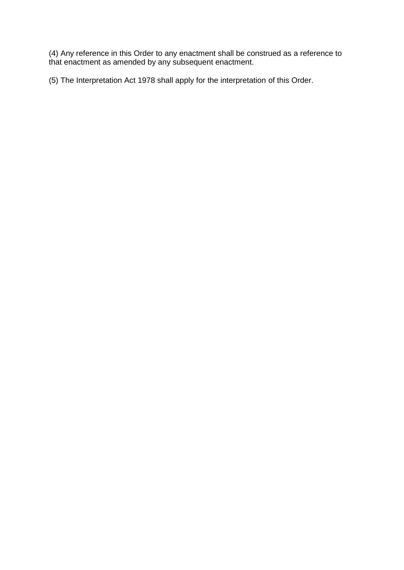(4) Any reference in this Order to any enactment shall be construed as a reference to that enactment as amended by any subsequent enactment.

(5) The Interpretation Act 1978 shall apply for the interpretation of this Order.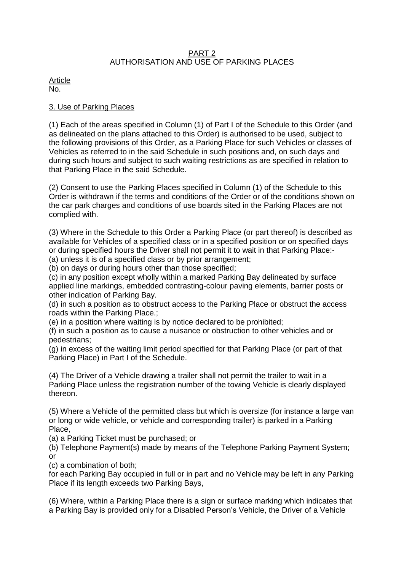## PART 2 AUTHORISATION AND USE OF PARKING PLACES

Article No.

## 3. Use of Parking Places

(1) Each of the areas specified in Column (1) of Part I of the Schedule to this Order (and as delineated on the plans attached to this Order) is authorised to be used, subject to the following provisions of this Order, as a Parking Place for such Vehicles or classes of Vehicles as referred to in the said Schedule in such positions and, on such days and during such hours and subject to such waiting restrictions as are specified in relation to that Parking Place in the said Schedule.

(2) Consent to use the Parking Places specified in Column (1) of the Schedule to this Order is withdrawn if the terms and conditions of the Order or of the conditions shown on the car park charges and conditions of use boards sited in the Parking Places are not complied with.

(3) Where in the Schedule to this Order a Parking Place (or part thereof) is described as available for Vehicles of a specified class or in a specified position or on specified days or during specified hours the Driver shall not permit it to wait in that Parking Place:-

(a) unless it is of a specified class or by prior arrangement;

(b) on days or during hours other than those specified;

(c) in any position except wholly within a marked Parking Bay delineated by surface applied line markings, embedded contrasting-colour paving elements, barrier posts or other indication of Parking Bay.

(d) in such a position as to obstruct access to the Parking Place or obstruct the access roads within the Parking Place.;

(e) in a position where waiting is by notice declared to be prohibited;

(f) in such a position as to cause a nuisance or obstruction to other vehicles and or pedestrians;

(g) in excess of the waiting limit period specified for that Parking Place (or part of that Parking Place) in Part I of the Schedule.

(4) The Driver of a Vehicle drawing a trailer shall not permit the trailer to wait in a Parking Place unless the registration number of the towing Vehicle is clearly displayed thereon.

(5) Where a Vehicle of the permitted class but which is oversize (for instance a large van or long or wide vehicle, or vehicle and corresponding trailer) is parked in a Parking Place,

(a) a Parking Ticket must be purchased; or

(b) Telephone Payment(s) made by means of the Telephone Parking Payment System; or

(c) a combination of both;

for each Parking Bay occupied in full or in part and no Vehicle may be left in any Parking Place if its length exceeds two Parking Bays,

(6) Where, within a Parking Place there is a sign or surface marking which indicates that a Parking Bay is provided only for a Disabled Person's Vehicle, the Driver of a Vehicle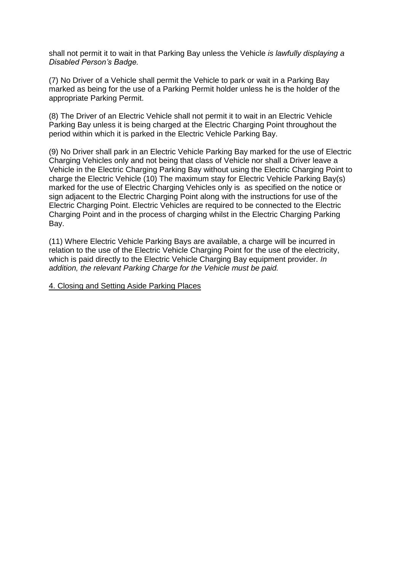shall not permit it to wait in that Parking Bay unless the Vehicle *is lawfully displaying a Disabled Person's Badge.*

(7) No Driver of a Vehicle shall permit the Vehicle to park or wait in a Parking Bay marked as being for the use of a Parking Permit holder unless he is the holder of the appropriate Parking Permit.

(8) The Driver of an Electric Vehicle shall not permit it to wait in an Electric Vehicle Parking Bay unless it is being charged at the Electric Charging Point throughout the period within which it is parked in the Electric Vehicle Parking Bay.

(9) No Driver shall park in an Electric Vehicle Parking Bay marked for the use of Electric Charging Vehicles only and not being that class of Vehicle nor shall a Driver leave a Vehicle in the Electric Charging Parking Bay without using the Electric Charging Point to charge the Electric Vehicle (10) The maximum stay for Electric Vehicle Parking Bay(s) marked for the use of Electric Charging Vehicles only is as specified on the notice or sign adjacent to the Electric Charging Point along with the instructions for use of the Electric Charging Point. Electric Vehicles are required to be connected to the Electric Charging Point and in the process of charging whilst in the Electric Charging Parking Bay.

(11) Where Electric Vehicle Parking Bays are available, a charge will be incurred in relation to the use of the Electric Vehicle Charging Point for the use of the electricity, which is paid directly to the Electric Vehicle Charging Bay equipment provider. *In addition, the relevant Parking Charge for the Vehicle must be paid.*

4. Closing and Setting Aside Parking Places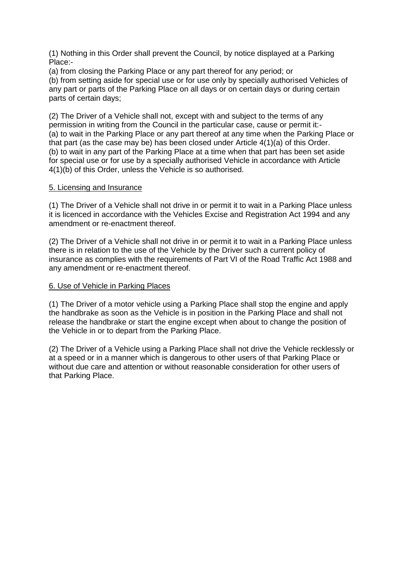(1) Nothing in this Order shall prevent the Council, by notice displayed at a Parking Place:-

(a) from closing the Parking Place or any part thereof for any period; or

(b) from setting aside for special use or for use only by specially authorised Vehicles of any part or parts of the Parking Place on all days or on certain days or during certain parts of certain days;

(2) The Driver of a Vehicle shall not, except with and subject to the terms of any permission in writing from the Council in the particular case, cause or permit it:- (a) to wait in the Parking Place or any part thereof at any time when the Parking Place or that part (as the case may be) has been closed under Article 4(1)(a) of this Order. (b) to wait in any part of the Parking Place at a time when that part has been set aside for special use or for use by a specially authorised Vehicle in accordance with Article 4(1)(b) of this Order, unless the Vehicle is so authorised.

## 5. Licensing and Insurance

(1) The Driver of a Vehicle shall not drive in or permit it to wait in a Parking Place unless it is licenced in accordance with the Vehicles Excise and Registration Act 1994 and any amendment or re-enactment thereof.

(2) The Driver of a Vehicle shall not drive in or permit it to wait in a Parking Place unless there is in relation to the use of the Vehicle by the Driver such a current policy of insurance as complies with the requirements of Part VI of the Road Traffic Act 1988 and any amendment or re-enactment thereof.

## 6. Use of Vehicle in Parking Places

(1) The Driver of a motor vehicle using a Parking Place shall stop the engine and apply the handbrake as soon as the Vehicle is in position in the Parking Place and shall not release the handbrake or start the engine except when about to change the position of the Vehicle in or to depart from the Parking Place.

(2) The Driver of a Vehicle using a Parking Place shall not drive the Vehicle recklessly or at a speed or in a manner which is dangerous to other users of that Parking Place or without due care and attention or without reasonable consideration for other users of that Parking Place.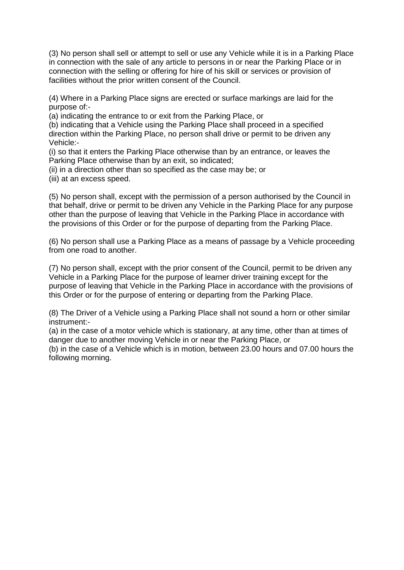(3) No person shall sell or attempt to sell or use any Vehicle while it is in a Parking Place in connection with the sale of any article to persons in or near the Parking Place or in connection with the selling or offering for hire of his skill or services or provision of facilities without the prior written consent of the Council.

(4) Where in a Parking Place signs are erected or surface markings are laid for the purpose of:-

(a) indicating the entrance to or exit from the Parking Place, or

(b) indicating that a Vehicle using the Parking Place shall proceed in a specified direction within the Parking Place, no person shall drive or permit to be driven any Vehicle:-

(i) so that it enters the Parking Place otherwise than by an entrance, or leaves the Parking Place otherwise than by an exit, so indicated;

(ii) in a direction other than so specified as the case may be; or

(iii) at an excess speed.

(5) No person shall, except with the permission of a person authorised by the Council in that behalf, drive or permit to be driven any Vehicle in the Parking Place for any purpose other than the purpose of leaving that Vehicle in the Parking Place in accordance with the provisions of this Order or for the purpose of departing from the Parking Place.

(6) No person shall use a Parking Place as a means of passage by a Vehicle proceeding from one road to another.

(7) No person shall, except with the prior consent of the Council, permit to be driven any Vehicle in a Parking Place for the purpose of learner driver training except for the purpose of leaving that Vehicle in the Parking Place in accordance with the provisions of this Order or for the purpose of entering or departing from the Parking Place.

(8) The Driver of a Vehicle using a Parking Place shall not sound a horn or other similar instrument:-

(a) in the case of a motor vehicle which is stationary, at any time, other than at times of danger due to another moving Vehicle in or near the Parking Place, or

(b) in the case of a Vehicle which is in motion, between 23.00 hours and 07.00 hours the following morning.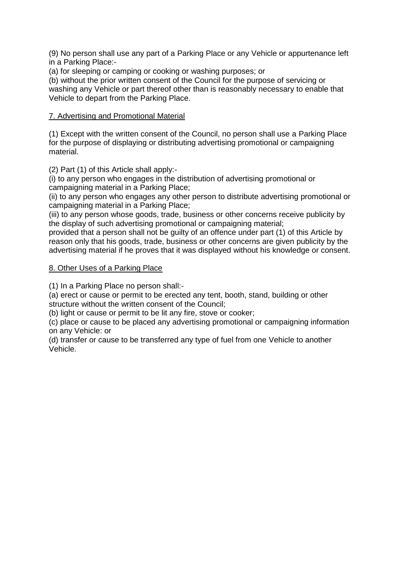(9) No person shall use any part of a Parking Place or any Vehicle or appurtenance left in a Parking Place:-

(a) for sleeping or camping or cooking or washing purposes; or

(b) without the prior written consent of the Council for the purpose of servicing or washing any Vehicle or part thereof other than is reasonably necessary to enable that Vehicle to depart from the Parking Place.

# 7. Advertising and Promotional Material

(1) Except with the written consent of the Council, no person shall use a Parking Place for the purpose of displaying or distributing advertising promotional or campaigning material.

(2) Part (1) of this Article shall apply:-

(i) to any person who engages in the distribution of advertising promotional or campaigning material in a Parking Place;

(ii) to any person who engages any other person to distribute advertising promotional or campaigning material in a Parking Place;

(iii) to any person whose goods, trade, business or other concerns receive publicity by the display of such advertising promotional or campaigning material;

provided that a person shall not be guilty of an offence under part (1) of this Article by reason only that his goods, trade, business or other concerns are given publicity by the advertising material if he proves that it was displayed without his knowledge or consent.

## 8. Other Uses of a Parking Place

(1) In a Parking Place no person shall:-

(a) erect or cause or permit to be erected any tent, booth, stand, building or other structure without the written consent of the Council;

(b) light or cause or permit to be lit any fire, stove or cooker;

(c) place or cause to be placed any advertising promotional or campaigning information on any Vehicle: or

(d) transfer or cause to be transferred any type of fuel from one Vehicle to another Vehicle.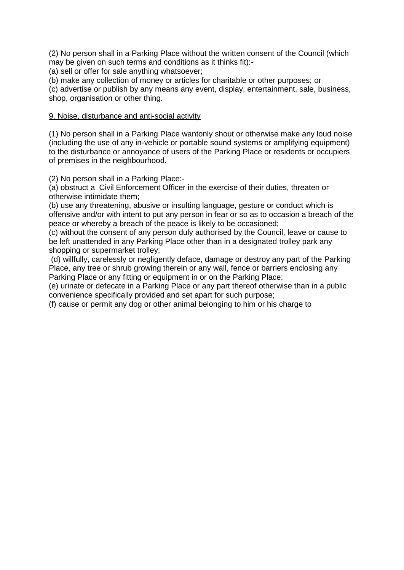(2) No person shall in a Parking Place without the written consent of the Council (which may be given on such terms and conditions as it thinks fit):-

(a) sell or offer for sale anything whatsoever;

(b) make any collection of money or articles for charitable or other purposes; or

(c) advertise or publish by any means any event, display, entertainment, sale, business, shop, organisation or other thing.

## 9. Noise, disturbance and anti-social activity

(1) No person shall in a Parking Place wantonly shout or otherwise make any loud noise (including the use of any in-vehicle or portable sound systems or amplifying equipment) to the disturbance or annoyance of users of the Parking Place or residents or occupiers of premises in the neighbourhood.

(2) No person shall in a Parking Place:-

(a) obstruct a Civil Enforcement Officer in the exercise of their duties, threaten or otherwise intimidate them;

(b) use any threatening, abusive or insulting language, gesture or conduct which is offensive and/or with intent to put any person in fear or so as to occasion a breach of the peace or whereby a breach of the peace is likely to be occasioned;

(c) without the consent of any person duly authorised by the Council, leave or cause to be left unattended in any Parking Place other than in a designated trolley park any shopping or supermarket trolley;

(d) willfully, carelessly or negligently deface, damage or destroy any part of the Parking Place, any tree or shrub growing therein or any wall, fence or barriers enclosing any Parking Place or any fitting or equipment in or on the Parking Place;

(e) urinate or defecate in a Parking Place or any part thereof otherwise than in a public convenience specifically provided and set apart for such purpose;

(f) cause or permit any dog or other animal belonging to him or his charge to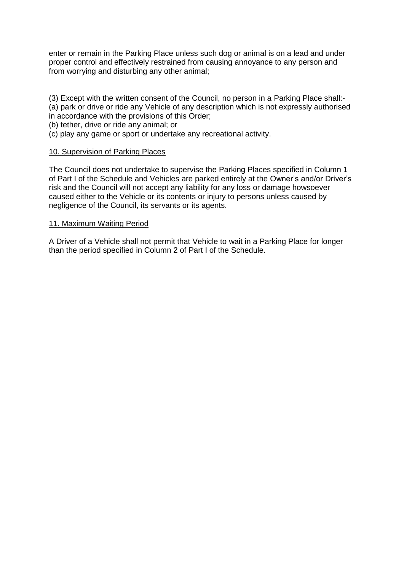enter or remain in the Parking Place unless such dog or animal is on a lead and under proper control and effectively restrained from causing annoyance to any person and from worrying and disturbing any other animal;

- (3) Except with the written consent of the Council, no person in a Parking Place shall:-
- (a) park or drive or ride any Vehicle of any description which is not expressly authorised in accordance with the provisions of this Order;
- (b) tether, drive or ride any animal; or
- (c) play any game or sport or undertake any recreational activity.

## 10. Supervision of Parking Places

The Council does not undertake to supervise the Parking Places specified in Column 1 of Part I of the Schedule and Vehicles are parked entirely at the Owner's and/or Driver's risk and the Council will not accept any liability for any loss or damage howsoever caused either to the Vehicle or its contents or injury to persons unless caused by negligence of the Council, its servants or its agents.

## 11. Maximum Waiting Period

A Driver of a Vehicle shall not permit that Vehicle to wait in a Parking Place for longer than the period specified in Column 2 of Part I of the Schedule.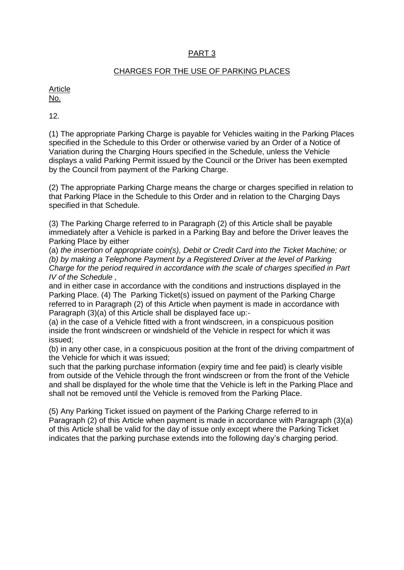# PART 3

## CHARGES FOR THE USE OF PARKING PLACES

Article No.

12.

(1) The appropriate Parking Charge is payable for Vehicles waiting in the Parking Places specified in the Schedule to this Order or otherwise varied by an Order of a Notice of Variation during the Charging Hours specified in the Schedule, unless the Vehicle displays a valid Parking Permit issued by the Council or the Driver has been exempted by the Council from payment of the Parking Charge.

(2) The appropriate Parking Charge means the charge or charges specified in relation to that Parking Place in the Schedule to this Order and in relation to the Charging Days specified in that Schedule.

(3) The Parking Charge referred to in Paragraph (2) of this Article shall be payable immediately after a Vehicle is parked in a Parking Bay and before the Driver leaves the Parking Place by either

(a) *the insertion of appropriate coin(s), Debit or Credit Card into the Ticket Machine; or (b) by making a Telephone Payment by a Registered Driver at the level of Parking Charge for the period required in accordance with the scale of charges specified in Part IV of the Schedule ,* 

and in either case in accordance with the conditions and instructions displayed in the Parking Place. (4) The Parking Ticket(s) issued on payment of the Parking Charge referred to in Paragraph (2) of this Article when payment is made in accordance with Paragraph (3)(a) of this Article shall be displayed face up:-

(a) in the case of a Vehicle fitted with a front windscreen, in a conspicuous position inside the front windscreen or windshield of the Vehicle in respect for which it was issued;

(b) in any other case, in a conspicuous position at the front of the driving compartment of the Vehicle for which it was issued;

such that the parking purchase information (expiry time and fee paid) is clearly visible from outside of the Vehicle through the front windscreen or from the front of the Vehicle and shall be displayed for the whole time that the Vehicle is left in the Parking Place and shall not be removed until the Vehicle is removed from the Parking Place.

(5) Any Parking Ticket issued on payment of the Parking Charge referred to in Paragraph (2) of this Article when payment is made in accordance with Paragraph (3)(a) of this Article shall be valid for the day of issue only except where the Parking Ticket indicates that the parking purchase extends into the following day's charging period.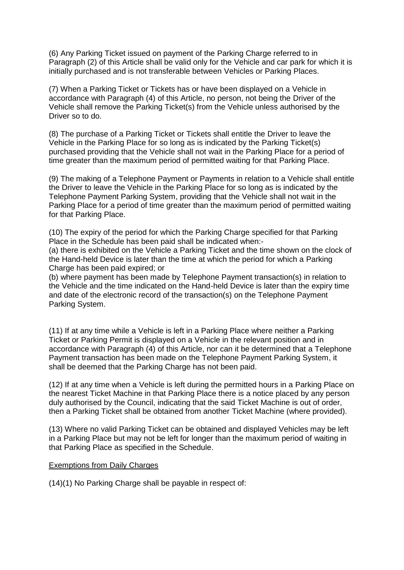(6) Any Parking Ticket issued on payment of the Parking Charge referred to in Paragraph (2) of this Article shall be valid only for the Vehicle and car park for which it is initially purchased and is not transferable between Vehicles or Parking Places.

(7) When a Parking Ticket or Tickets has or have been displayed on a Vehicle in accordance with Paragraph (4) of this Article, no person, not being the Driver of the Vehicle shall remove the Parking Ticket(s) from the Vehicle unless authorised by the Driver so to do.

(8) The purchase of a Parking Ticket or Tickets shall entitle the Driver to leave the Vehicle in the Parking Place for so long as is indicated by the Parking Ticket(s) purchased providing that the Vehicle shall not wait in the Parking Place for a period of time greater than the maximum period of permitted waiting for that Parking Place.

(9) The making of a Telephone Payment or Payments in relation to a Vehicle shall entitle the Driver to leave the Vehicle in the Parking Place for so long as is indicated by the Telephone Payment Parking System, providing that the Vehicle shall not wait in the Parking Place for a period of time greater than the maximum period of permitted waiting for that Parking Place.

(10) The expiry of the period for which the Parking Charge specified for that Parking Place in the Schedule has been paid shall be indicated when:-

(a) there is exhibited on the Vehicle a Parking Ticket and the time shown on the clock of the Hand-held Device is later than the time at which the period for which a Parking Charge has been paid expired; or

(b) where payment has been made by Telephone Payment transaction(s) in relation to the Vehicle and the time indicated on the Hand-held Device is later than the expiry time and date of the electronic record of the transaction(s) on the Telephone Payment Parking System.

(11) If at any time while a Vehicle is left in a Parking Place where neither a Parking Ticket or Parking Permit is displayed on a Vehicle in the relevant position and in accordance with Paragraph (4) of this Article, nor can it be determined that a Telephone Payment transaction has been made on the Telephone Payment Parking System, it shall be deemed that the Parking Charge has not been paid.

(12) If at any time when a Vehicle is left during the permitted hours in a Parking Place on the nearest Ticket Machine in that Parking Place there is a notice placed by any person duly authorised by the Council, indicating that the said Ticket Machine is out of order, then a Parking Ticket shall be obtained from another Ticket Machine (where provided).

(13) Where no valid Parking Ticket can be obtained and displayed Vehicles may be left in a Parking Place but may not be left for longer than the maximum period of waiting in that Parking Place as specified in the Schedule.

## Exemptions from Daily Charges

(14)(1) No Parking Charge shall be payable in respect of: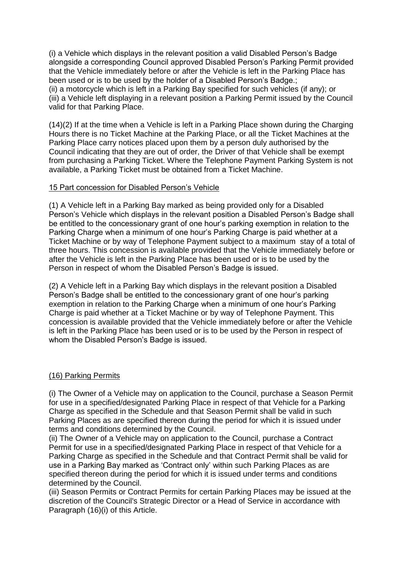(i) a Vehicle which displays in the relevant position a valid Disabled Person's Badge alongside a corresponding Council approved Disabled Person's Parking Permit provided that the Vehicle immediately before or after the Vehicle is left in the Parking Place has been used or is to be used by the holder of a Disabled Person's Badge.; (ii) a motorcycle which is left in a Parking Bay specified for such vehicles (if any); or (iii) a Vehicle left displaying in a relevant position a Parking Permit issued by the Council valid for that Parking Place.

(14)(2) If at the time when a Vehicle is left in a Parking Place shown during the Charging Hours there is no Ticket Machine at the Parking Place, or all the Ticket Machines at the Parking Place carry notices placed upon them by a person duly authorised by the Council indicating that they are out of order, the Driver of that Vehicle shall be exempt from purchasing a Parking Ticket. Where the Telephone Payment Parking System is not available, a Parking Ticket must be obtained from a Ticket Machine.

## 15 Part concession for Disabled Person's Vehicle

(1) A Vehicle left in a Parking Bay marked as being provided only for a Disabled Person's Vehicle which displays in the relevant position a Disabled Person's Badge shall be entitled to the concessionary grant of one hour's parking exemption in relation to the Parking Charge when a minimum of one hour's Parking Charge is paid whether at a Ticket Machine or by way of Telephone Payment subject to a maximum stay of a total of three hours. This concession is available provided that the Vehicle immediately before or after the Vehicle is left in the Parking Place has been used or is to be used by the Person in respect of whom the Disabled Person's Badge is issued.

(2) A Vehicle left in a Parking Bay which displays in the relevant position a Disabled Person's Badge shall be entitled to the concessionary grant of one hour's parking exemption in relation to the Parking Charge when a minimum of one hour's Parking Charge is paid whether at a Ticket Machine or by way of Telephone Payment. This concession is available provided that the Vehicle immediately before or after the Vehicle is left in the Parking Place has been used or is to be used by the Person in respect of whom the Disabled Person's Badge is issued.

## (16) Parking Permits

(i) The Owner of a Vehicle may on application to the Council, purchase a Season Permit for use in a specified/designated Parking Place in respect of that Vehicle for a Parking Charge as specified in the Schedule and that Season Permit shall be valid in such Parking Places as are specified thereon during the period for which it is issued under terms and conditions determined by the Council.

(ii) The Owner of a Vehicle may on application to the Council, purchase a Contract Permit for use in a specified/designated Parking Place in respect of that Vehicle for a Parking Charge as specified in the Schedule and that Contract Permit shall be valid for use in a Parking Bay marked as 'Contract only' within such Parking Places as are specified thereon during the period for which it is issued under terms and conditions determined by the Council.

(iii) Season Permits or Contract Permits for certain Parking Places may be issued at the discretion of the Council's Strategic Director or a Head of Service in accordance with Paragraph (16)(i) of this Article.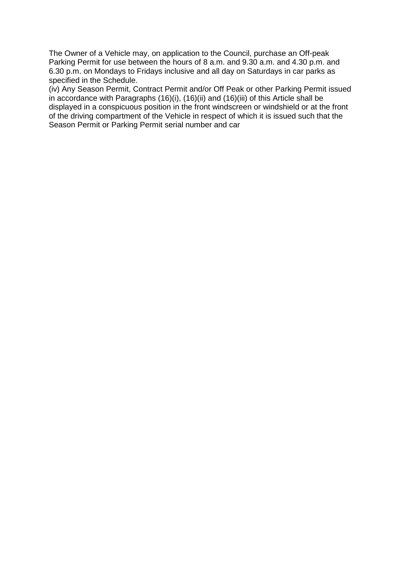The Owner of a Vehicle may, on application to the Council, purchase an Off-peak Parking Permit for use between the hours of 8 a.m. and 9.30 a.m. and 4.30 p.m. and 6.30 p.m. on Mondays to Fridays inclusive and all day on Saturdays in car parks as specified in the Schedule.

(iv) Any Season Permit, Contract Permit and/or Off Peak or other Parking Permit issued in accordance with Paragraphs (16)(i), (16)(ii) and (16)(iii) of this Article shall be displayed in a conspicuous position in the front windscreen or windshield or at the front of the driving compartment of the Vehicle in respect of which it is issued such that the Season Permit or Parking Permit serial number and car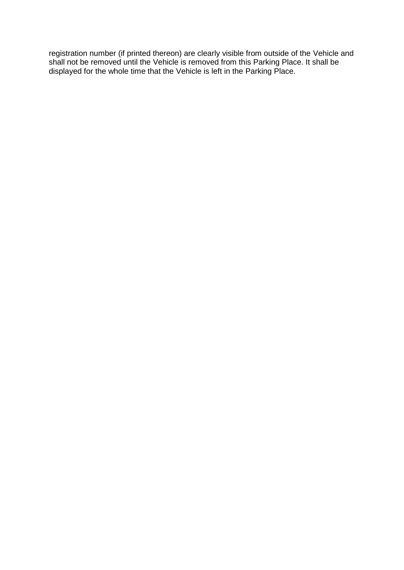registration number (if printed thereon) are clearly visible from outside of the Vehicle and shall not be removed until the Vehicle is removed from this Parking Place. It shall be displayed for the whole time that the Vehicle is left in the Parking Place.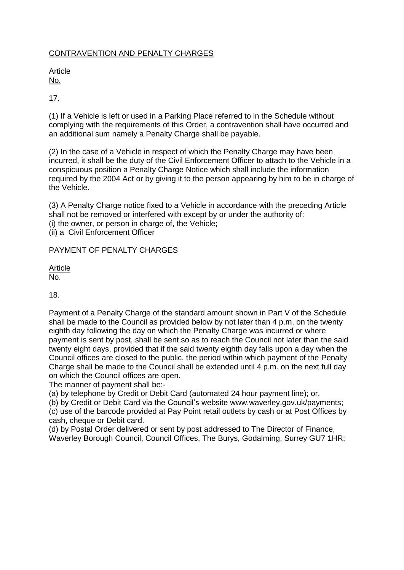# CONTRAVENTION AND PENALTY CHARGES

#### Article No.

# 17.

(1) If a Vehicle is left or used in a Parking Place referred to in the Schedule without complying with the requirements of this Order, a contravention shall have occurred and an additional sum namely a Penalty Charge shall be payable.

(2) In the case of a Vehicle in respect of which the Penalty Charge may have been incurred, it shall be the duty of the Civil Enforcement Officer to attach to the Vehicle in a conspicuous position a Penalty Charge Notice which shall include the information required by the 2004 Act or by giving it to the person appearing by him to be in charge of the Vehicle.

(3) A Penalty Charge notice fixed to a Vehicle in accordance with the preceding Article shall not be removed or interfered with except by or under the authority of: (i) the owner, or person in charge of, the Vehicle; (ii) a Civil Enforcement Officer

## PAYMENT OF PENALTY CHARGES

**Article** No.

18.

Payment of a Penalty Charge of the standard amount shown in Part V of the Schedule shall be made to the Council as provided below by not later than 4 p.m. on the twenty eighth day following the day on which the Penalty Charge was incurred or where payment is sent by post, shall be sent so as to reach the Council not later than the said twenty eight days, provided that if the said twenty eighth day falls upon a day when the Council offices are closed to the public, the period within which payment of the Penalty Charge shall be made to the Council shall be extended until 4 p.m. on the next full day on which the Council offices are open.

The manner of payment shall be:-

(a) by telephone by Credit or Debit Card (automated 24 hour payment line); or,

(b) by Credit or Debit Card via the Council's website www.waverley.gov.uk/payments;

(c) use of the barcode provided at Pay Point retail outlets by cash or at Post Offices by cash, cheque or Debit card.

(d) by Postal Order delivered or sent by post addressed to The Director of Finance, Waverley Borough Council, Council Offices, The Burys, Godalming, Surrey GU7 1HR;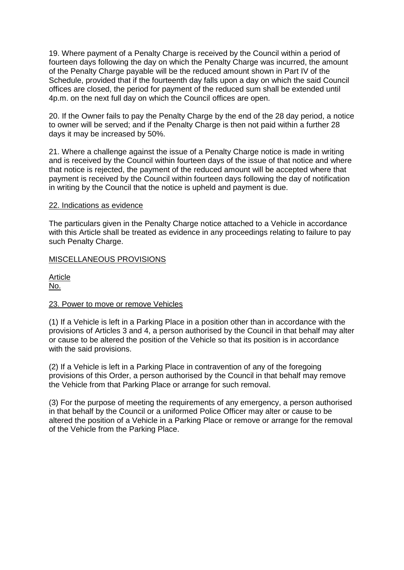19. Where payment of a Penalty Charge is received by the Council within a period of fourteen days following the day on which the Penalty Charge was incurred, the amount of the Penalty Charge payable will be the reduced amount shown in Part IV of the Schedule, provided that if the fourteenth day falls upon a day on which the said Council offices are closed, the period for payment of the reduced sum shall be extended until 4p.m. on the next full day on which the Council offices are open.

20. If the Owner fails to pay the Penalty Charge by the end of the 28 day period, a notice to owner will be served; and if the Penalty Charge is then not paid within a further 28 days it may be increased by 50%.

21. Where a challenge against the issue of a Penalty Charge notice is made in writing and is received by the Council within fourteen days of the issue of that notice and where that notice is rejected, the payment of the reduced amount will be accepted where that payment is received by the Council within fourteen days following the day of notification in writing by the Council that the notice is upheld and payment is due.

#### 22. Indications as evidence

The particulars given in the Penalty Charge notice attached to a Vehicle in accordance with this Article shall be treated as evidence in any proceedings relating to failure to pay such Penalty Charge.

## MISCELLANEOUS PROVISIONS

**Article** No.

## 23. Power to move or remove Vehicles

(1) If a Vehicle is left in a Parking Place in a position other than in accordance with the provisions of Articles 3 and 4, a person authorised by the Council in that behalf may alter or cause to be altered the position of the Vehicle so that its position is in accordance with the said provisions.

(2) If a Vehicle is left in a Parking Place in contravention of any of the foregoing provisions of this Order, a person authorised by the Council in that behalf may remove the Vehicle from that Parking Place or arrange for such removal.

(3) For the purpose of meeting the requirements of any emergency, a person authorised in that behalf by the Council or a uniformed Police Officer may alter or cause to be altered the position of a Vehicle in a Parking Place or remove or arrange for the removal of the Vehicle from the Parking Place.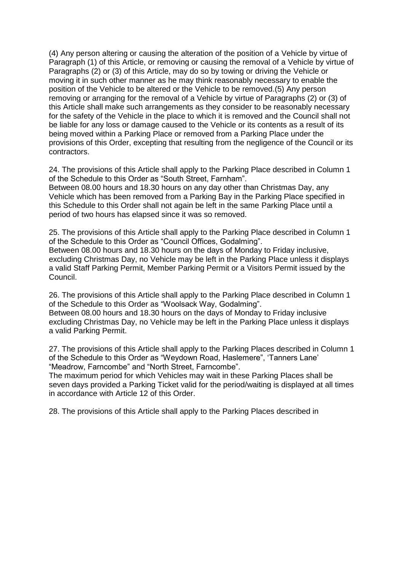(4) Any person altering or causing the alteration of the position of a Vehicle by virtue of Paragraph (1) of this Article, or removing or causing the removal of a Vehicle by virtue of Paragraphs (2) or (3) of this Article, may do so by towing or driving the Vehicle or moving it in such other manner as he may think reasonably necessary to enable the position of the Vehicle to be altered or the Vehicle to be removed.(5) Any person removing or arranging for the removal of a Vehicle by virtue of Paragraphs (2) or (3) of this Article shall make such arrangements as they consider to be reasonably necessary for the safety of the Vehicle in the place to which it is removed and the Council shall not be liable for any loss or damage caused to the Vehicle or its contents as a result of its being moved within a Parking Place or removed from a Parking Place under the provisions of this Order, excepting that resulting from the negligence of the Council or its contractors.

24. The provisions of this Article shall apply to the Parking Place described in Column 1 of the Schedule to this Order as "South Street, Farnham".

Between 08.00 hours and 18.30 hours on any day other than Christmas Day, any Vehicle which has been removed from a Parking Bay in the Parking Place specified in this Schedule to this Order shall not again be left in the same Parking Place until a period of two hours has elapsed since it was so removed.

25. The provisions of this Article shall apply to the Parking Place described in Column 1 of the Schedule to this Order as "Council Offices, Godalming". Between 08.00 hours and 18.30 hours on the days of Monday to Friday inclusive, excluding Christmas Day, no Vehicle may be left in the Parking Place unless it displays a valid Staff Parking Permit, Member Parking Permit or a Visitors Permit issued by the Council.

26. The provisions of this Article shall apply to the Parking Place described in Column 1 of the Schedule to this Order as "Woolsack Way, Godalming".

Between 08.00 hours and 18.30 hours on the days of Monday to Friday inclusive excluding Christmas Day, no Vehicle may be left in the Parking Place unless it displays a valid Parking Permit.

27. The provisions of this Article shall apply to the Parking Places described in Column 1 of the Schedule to this Order as "Weydown Road, Haslemere", 'Tanners Lane' "Meadrow, Farncombe" and "North Street, Farncombe".

The maximum period for which Vehicles may wait in these Parking Places shall be seven days provided a Parking Ticket valid for the period/waiting is displayed at all times in accordance with Article 12 of this Order.

28. The provisions of this Article shall apply to the Parking Places described in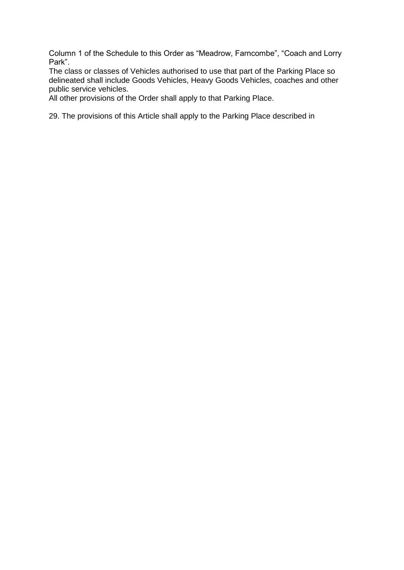Column 1 of the Schedule to this Order as "Meadrow, Farncombe", "Coach and Lorry Park".

The class or classes of Vehicles authorised to use that part of the Parking Place so delineated shall include Goods Vehicles, Heavy Goods Vehicles, coaches and other public service vehicles.

All other provisions of the Order shall apply to that Parking Place.

29. The provisions of this Article shall apply to the Parking Place described in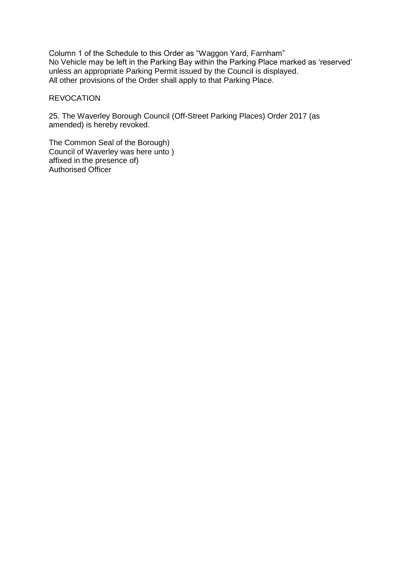Column 1 of the Schedule to this Order as "Waggon Yard, Farnham" No Vehicle may be left in the Parking Bay within the Parking Place marked as 'reserved' unless an appropriate Parking Permit issued by the Council is displayed. All other provisions of the Order shall apply to that Parking Place.

#### REVOCATION

25. The Waverley Borough Council (Off-Street Parking Places) Order 2017 (as amended) is hereby revoked.

The Common Seal of the Borough) Council of Waverley was here unto ) affixed in the presence of) Authorised Officer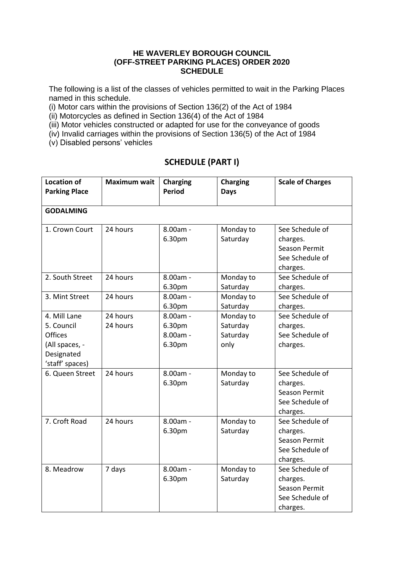## **HE WAVERLEY BOROUGH COUNCIL (OFF-STREET PARKING PLACES) ORDER 2020 SCHEDULE**

The following is a list of the classes of vehicles permitted to wait in the Parking Places named in this schedule.

(i) Motor cars within the provisions of Section 136(2) of the Act of 1984

(ii) Motorcycles as defined in Section 136(4) of the Act of 1984

(iii) Motor vehicles constructed or adapted for use for the conveyance of goods

(iv) Invalid carriages within the provisions of Section 136(5) of the Act of 1984

(v) Disabled persons' vehicles

# **SCHEDULE (PART I)**

| <b>Location of</b><br><b>Parking Place</b> | <b>Maximum wait</b> | <b>Charging</b><br><b>Charging</b><br><b>Period</b><br><b>Days</b> |           | <b>Scale of Charges</b> |
|--------------------------------------------|---------------------|--------------------------------------------------------------------|-----------|-------------------------|
|                                            |                     |                                                                    |           |                         |
| <b>GODALMING</b>                           |                     |                                                                    |           |                         |
| 1. Crown Court                             | 24 hours            | 8.00am -                                                           | Monday to | See Schedule of         |
|                                            |                     | 6.30pm                                                             | Saturday  | charges.                |
|                                            |                     |                                                                    |           | <b>Season Permit</b>    |
|                                            |                     |                                                                    |           | See Schedule of         |
|                                            |                     |                                                                    |           | charges.                |
| 2. South Street                            | 24 hours            | 8.00am -                                                           | Monday to | See Schedule of         |
|                                            |                     | 6.30pm                                                             | Saturday  | charges.                |
| 3. Mint Street                             | 24 hours            | $8.00am -$                                                         | Monday to | See Schedule of         |
|                                            |                     | 6.30pm                                                             | Saturday  | charges.                |
| 4. Mill Lane                               | 24 hours            | 8.00am -                                                           | Monday to | See Schedule of         |
| 5. Council                                 | 24 hours            | 6.30pm                                                             | Saturday  | charges.                |
| <b>Offices</b>                             |                     | 8.00am -                                                           | Saturday  | See Schedule of         |
| (All spaces, -                             |                     | 6.30pm                                                             | only      | charges.                |
| Designated                                 |                     |                                                                    |           |                         |
| 'staff' spaces)                            |                     |                                                                    |           |                         |
| 6. Queen Street                            | 24 hours            | 8.00am -                                                           | Monday to | See Schedule of         |
|                                            |                     | 6.30pm                                                             | Saturday  | charges.                |
|                                            |                     |                                                                    |           | Season Permit           |
|                                            |                     |                                                                    |           | See Schedule of         |
|                                            |                     |                                                                    |           | charges.                |
| 7. Croft Road                              | 24 hours            | 8.00am -                                                           | Monday to | See Schedule of         |
|                                            |                     | 6.30pm                                                             | Saturday  | charges.                |
|                                            |                     |                                                                    |           | Season Permit           |
|                                            |                     |                                                                    |           | See Schedule of         |
|                                            |                     |                                                                    |           | charges.                |
| 8. Meadrow                                 | 7 days              | 8.00am -                                                           | Monday to | See Schedule of         |
|                                            |                     | 6.30pm                                                             | Saturday  | charges.                |
|                                            |                     |                                                                    |           | Season Permit           |
|                                            |                     |                                                                    |           | See Schedule of         |
|                                            |                     |                                                                    |           | charges.                |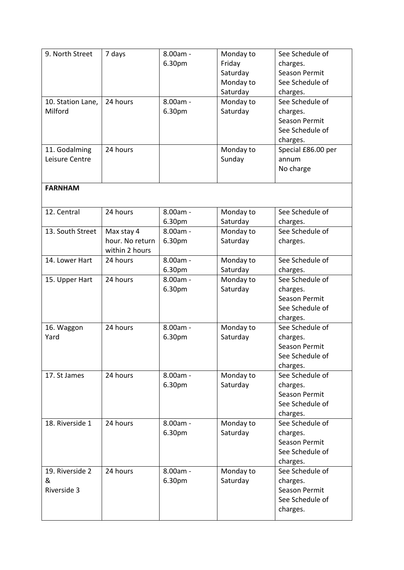| 9. North Street                     | 7 days                                          | 8.00am -<br>6.30pm   | Monday to<br>Friday<br>Saturday<br>Monday to<br>Saturday | See Schedule of<br>charges.<br><b>Season Permit</b><br>See Schedule of<br>charges. |
|-------------------------------------|-------------------------------------------------|----------------------|----------------------------------------------------------|------------------------------------------------------------------------------------|
| 10. Station Lane,<br>Milford        | 24 hours                                        | 8.00am -<br>6.30pm   | Monday to<br>Saturday                                    | See Schedule of<br>charges.<br><b>Season Permit</b><br>See Schedule of<br>charges. |
| 11. Godalming<br>Leisure Centre     | 24 hours                                        |                      | Monday to<br>Sunday                                      | Special £86.00 per<br>annum<br>No charge                                           |
| <b>FARNHAM</b>                      |                                                 |                      |                                                          |                                                                                    |
| 12. Central                         | 24 hours                                        | $8.00am -$<br>6.30pm | Monday to<br>Saturday                                    | See Schedule of<br>charges.                                                        |
| 13. South Street                    | Max stay 4<br>hour. No return<br>within 2 hours | $8.00am -$<br>6.30pm | Monday to<br>Saturday                                    | See Schedule of<br>charges.                                                        |
| 14. Lower Hart                      | 24 hours                                        | 8.00am -<br>6.30pm   | Monday to<br>Saturday                                    | See Schedule of<br>charges.                                                        |
| 15. Upper Hart                      | 24 hours                                        | $8.00am -$<br>6.30pm | Monday to<br>Saturday                                    | See Schedule of<br>charges.<br><b>Season Permit</b><br>See Schedule of<br>charges. |
| 16. Waggon<br>Yard                  | 24 hours                                        | 8.00am -<br>6.30pm   | Monday to<br>Saturday                                    | See Schedule of<br>charges.<br><b>Season Permit</b><br>See Schedule of<br>charges. |
| 17. St James                        | 24 hours                                        | 8.00am -<br>6.30pm   | Monday to<br>Saturday                                    | See Schedule of<br>charges.<br><b>Season Permit</b><br>See Schedule of<br>charges. |
| 18. Riverside 1                     | 24 hours                                        | 8.00am -<br>6.30pm   | Monday to<br>Saturday                                    | See Schedule of<br>charges.<br><b>Season Permit</b><br>See Schedule of<br>charges. |
| 19. Riverside 2<br>&<br>Riverside 3 | 24 hours                                        | 8.00am -<br>6.30pm   | Monday to<br>Saturday                                    | See Schedule of<br>charges.<br><b>Season Permit</b><br>See Schedule of<br>charges. |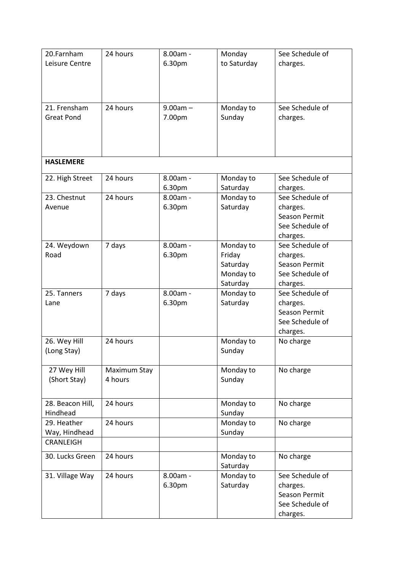| 20.Farnham        | 24 hours     | See Schedule of<br>8.00am -<br>Monday |             |                      |  |  |
|-------------------|--------------|---------------------------------------|-------------|----------------------|--|--|
| Leisure Centre    |              | 6.30pm                                | to Saturday | charges.             |  |  |
|                   |              |                                       |             |                      |  |  |
|                   |              |                                       |             |                      |  |  |
|                   |              |                                       |             |                      |  |  |
|                   |              |                                       |             |                      |  |  |
| 21. Frensham      | 24 hours     | $9.00am -$                            | Monday to   | See Schedule of      |  |  |
|                   |              |                                       |             |                      |  |  |
| <b>Great Pond</b> |              | 7.00pm                                | Sunday      | charges.             |  |  |
|                   |              |                                       |             |                      |  |  |
|                   |              |                                       |             |                      |  |  |
|                   |              |                                       |             |                      |  |  |
|                   |              |                                       |             |                      |  |  |
| <b>HASLEMERE</b>  |              |                                       |             |                      |  |  |
|                   | 24 hours     | 8.00am -                              |             | See Schedule of      |  |  |
| 22. High Street   |              |                                       | Monday to   |                      |  |  |
|                   |              | 6.30pm                                | Saturday    | charges.             |  |  |
| 23. Chestnut      | 24 hours     | 8.00am -                              | Monday to   | See Schedule of      |  |  |
| Avenue            |              | 6.30pm                                | Saturday    | charges.             |  |  |
|                   |              |                                       |             | <b>Season Permit</b> |  |  |
|                   |              |                                       |             | See Schedule of      |  |  |
|                   |              |                                       |             | charges.             |  |  |
| 24. Weydown       | 7 days       | 8.00am -                              | Monday to   | See Schedule of      |  |  |
| Road              |              | 6.30pm                                | Friday      | charges.             |  |  |
|                   |              |                                       | Saturday    | <b>Season Permit</b> |  |  |
|                   |              |                                       |             |                      |  |  |
|                   |              |                                       | Monday to   | See Schedule of      |  |  |
|                   |              |                                       | Saturday    | charges.             |  |  |
| 25. Tanners       | 7 days       | 8.00am -                              | Monday to   | See Schedule of      |  |  |
| Lane              |              | 6.30pm                                | Saturday    | charges.             |  |  |
|                   |              |                                       |             | <b>Season Permit</b> |  |  |
|                   |              |                                       |             | See Schedule of      |  |  |
|                   |              |                                       |             | charges.             |  |  |
| 26. Wey Hill      | 24 hours     |                                       | Monday to   | No charge            |  |  |
| (Long Stay)       |              |                                       | Sunday      |                      |  |  |
|                   |              |                                       |             |                      |  |  |
| 27 Wey Hill       | Maximum Stay |                                       | Monday to   | No charge            |  |  |
|                   |              |                                       |             |                      |  |  |
| (Short Stay)      | 4 hours      |                                       | Sunday      |                      |  |  |
|                   |              |                                       |             |                      |  |  |
| 28. Beacon Hill,  | 24 hours     |                                       | Monday to   | No charge            |  |  |
| Hindhead          |              |                                       | Sunday      |                      |  |  |
| 29. Heather       | 24 hours     |                                       | Monday to   |                      |  |  |
|                   |              |                                       |             | No charge            |  |  |
| Way, Hindhead     |              |                                       | Sunday      |                      |  |  |
| <b>CRANLEIGH</b>  |              |                                       |             |                      |  |  |
| 30. Lucks Green   | 24 hours     |                                       | Monday to   | No charge            |  |  |
|                   |              |                                       | Saturday    |                      |  |  |
|                   |              |                                       |             |                      |  |  |
| 31. Village Way   | 24 hours     | 8.00am -                              | Monday to   | See Schedule of      |  |  |
|                   |              | 6.30pm                                | Saturday    | charges.             |  |  |
|                   |              |                                       |             | <b>Season Permit</b> |  |  |
|                   |              |                                       |             | See Schedule of      |  |  |
|                   |              |                                       |             | charges.             |  |  |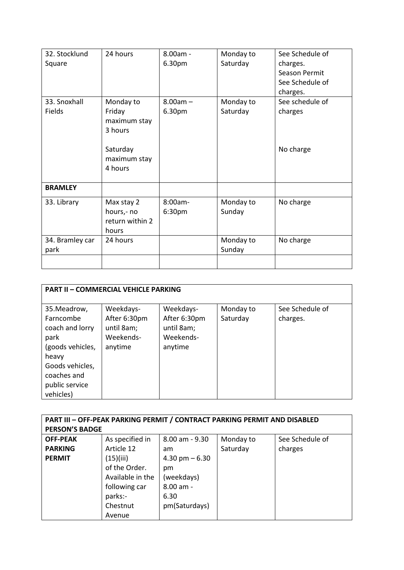| 32. Stocklund   | 24 hours        | $8.00am -$ | Monday to | See Schedule of |
|-----------------|-----------------|------------|-----------|-----------------|
| Square          |                 | 6.30pm     | Saturday  | charges.        |
|                 |                 |            |           | Season Permit   |
|                 |                 |            |           | See Schedule of |
|                 |                 |            |           | charges.        |
| 33. Snoxhall    | Monday to       | $8.00am -$ | Monday to | See schedule of |
| Fields          | Friday          | 6.30pm     | Saturday  | charges         |
|                 | maximum stay    |            |           |                 |
|                 | 3 hours         |            |           |                 |
|                 |                 |            |           |                 |
|                 | Saturday        |            |           | No charge       |
|                 | maximum stay    |            |           |                 |
|                 | 4 hours         |            |           |                 |
| <b>BRAMLEY</b>  |                 |            |           |                 |
|                 |                 |            |           |                 |
| 33. Library     | Max stay 2      | 8:00am-    | Monday to | No charge       |
|                 | hours,- no      | 6:30pm     | Sunday    |                 |
|                 | return within 2 |            |           |                 |
|                 | hours           |            |           |                 |
| 34. Bramley car | 24 hours        |            | Monday to | No charge       |
| park            |                 |            | Sunday    |                 |
|                 |                 |            |           |                 |
|                 |                 |            |           |                 |

| <b>PART II - COMMERCIAL VEHICLE PARKING</b>                                                                                           |                                                                 |                                                                 |                       |                             |  |  |  |  |  |  |  |
|---------------------------------------------------------------------------------------------------------------------------------------|-----------------------------------------------------------------|-----------------------------------------------------------------|-----------------------|-----------------------------|--|--|--|--|--|--|--|
| 35. Meadrow,<br>Farncombe<br>coach and lorry<br>park<br>(goods vehicles,<br>heavy<br>Goods vehicles,<br>coaches and<br>public service | Weekdays-<br>After 6:30pm<br>until 8am;<br>Weekends-<br>anytime | Weekdays-<br>After 6:30pm<br>until 8am;<br>Weekends-<br>anytime | Monday to<br>Saturday | See Schedule of<br>charges. |  |  |  |  |  |  |  |
| vehicles)                                                                                                                             |                                                                 |                                                                 |                       |                             |  |  |  |  |  |  |  |

| PART III - OFF-PEAK PARKING PERMIT / CONTRACT PARKING PERMIT AND DISABLED |                            |                 |           |                 |  |  |  |  |  |
|---------------------------------------------------------------------------|----------------------------|-----------------|-----------|-----------------|--|--|--|--|--|
| <b>PERSON'S BADGE</b>                                                     |                            |                 |           |                 |  |  |  |  |  |
| <b>OFF-PEAK</b>                                                           | As specified in            | 8.00 am - 9.30  | Monday to | See Schedule of |  |  |  |  |  |
| <b>PARKING</b>                                                            | Article 12                 | am              | Saturday  | charges         |  |  |  |  |  |
| <b>PERMIT</b>                                                             | (15)(iii)                  | 4.30 pm $-6.30$ |           |                 |  |  |  |  |  |
|                                                                           | of the Order.              | pm              |           |                 |  |  |  |  |  |
|                                                                           | Available in the           | (weekdays)      |           |                 |  |  |  |  |  |
|                                                                           | 8.00 am -<br>following car |                 |           |                 |  |  |  |  |  |
|                                                                           | parks:-<br>6.30            |                 |           |                 |  |  |  |  |  |
|                                                                           | Chestnut                   | pm(Saturdays)   |           |                 |  |  |  |  |  |
|                                                                           | Avenue                     |                 |           |                 |  |  |  |  |  |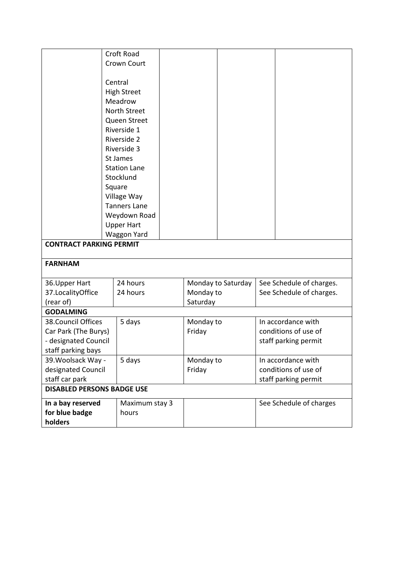|                                   | Croft Road          |                    |                          |  |
|-----------------------------------|---------------------|--------------------|--------------------------|--|
|                                   | Crown Court         |                    |                          |  |
|                                   |                     |                    |                          |  |
|                                   | Central             |                    |                          |  |
|                                   | <b>High Street</b>  |                    |                          |  |
|                                   | Meadrow             |                    |                          |  |
|                                   | North Street        |                    |                          |  |
|                                   | Queen Street        |                    |                          |  |
|                                   | Riverside 1         |                    |                          |  |
|                                   | Riverside 2         |                    |                          |  |
|                                   | Riverside 3         |                    |                          |  |
|                                   | St James            |                    |                          |  |
|                                   | <b>Station Lane</b> |                    |                          |  |
|                                   | Stocklund           |                    |                          |  |
|                                   | Square              |                    |                          |  |
|                                   | Village Way         |                    |                          |  |
|                                   | <b>Tanners Lane</b> |                    |                          |  |
|                                   | Weydown Road        |                    |                          |  |
|                                   | <b>Upper Hart</b>   |                    |                          |  |
|                                   | <b>Waggon Yard</b>  |                    |                          |  |
| <b>CONTRACT PARKING PERMIT</b>    |                     |                    |                          |  |
|                                   |                     |                    |                          |  |
| <b>FARNHAM</b>                    |                     |                    |                          |  |
| 36. Upper Hart                    | 24 hours            | Monday to Saturday | See Schedule of charges. |  |
| 37.LocalityOffice                 | 24 hours            | Monday to          | See Schedule of charges. |  |
| (rear of)                         |                     | Saturday           |                          |  |
| <b>GODALMING</b>                  |                     |                    |                          |  |
| 38. Council Offices               | 5 days              | Monday to          | In accordance with       |  |
| Car Park (The Burys)              |                     | Friday             | conditions of use of     |  |
| - designated Council              |                     |                    | staff parking permit     |  |
| staff parking bays                |                     |                    |                          |  |
| 39. Woolsack Way -                | 5 days              | Monday to          | In accordance with       |  |
| designated Council                |                     | Friday             | conditions of use of     |  |
| staff car park                    |                     |                    | staff parking permit     |  |
| <b>DISABLED PERSONS BADGE USE</b> |                     |                    |                          |  |
| In a bay reserved                 | Maximum stay 3      |                    | See Schedule of charges  |  |
| for blue badge                    | hours               |                    |                          |  |
| holders                           |                     |                    |                          |  |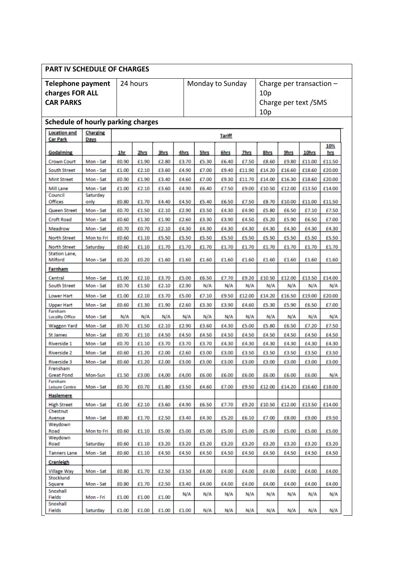| <b>PART IV SCHEDULE OF CHARGES</b>                              |                         |       |          |       |       |                  |               |             |                                                                              |             |        |            |
|-----------------------------------------------------------------|-------------------------|-------|----------|-------|-------|------------------|---------------|-------------|------------------------------------------------------------------------------|-------------|--------|------------|
| <b>Telephone payment</b><br>charges FOR ALL<br><b>CAR PARKS</b> |                         |       | 24 hours |       |       | Monday to Sunday |               |             | Charge per transaction $-$<br>10 <sub>p</sub><br>Charge per text /SMS<br>10p |             |        |            |
| Schedule of hourly parking charges                              |                         |       |          |       |       |                  |               |             |                                                                              |             |        |            |
| <b>Location and</b><br><b>Car Park</b>                          | <b>Charging</b><br>Days |       |          |       |       |                  | <b>Tariff</b> |             |                                                                              |             |        |            |
| <b>Godalming</b>                                                |                         | 1hr   | 2hrs     | 3hrs  | 4hrs  | <b>5hrs</b>      | 6hrs          | <b>7hrs</b> | 8hrs                                                                         | <b>9hrs</b> | 10hrs  | 10%<br>hrs |
| <b>Crown Court</b>                                              | Mon - Sat               | £0.90 | £1.90    | £2.80 | £3.70 | £5.30            | £6.40         | £7.50       | £8.60                                                                        | £9.80       | £11.00 | £11.50     |
| <b>South Street</b>                                             | Mon - Sat               | £1.00 | £2.10    | £3.60 | £4.90 | £7.00            | £9.40         | £11.90      | £14.20                                                                       | £16.60      | £18.60 | £20.00     |
| <b>Mint Street</b>                                              | Mon - Sat               | £0.90 | £1.90    | £3.40 | £4.60 | £7.00            | £9.30         | £11.70      | £14.00                                                                       | £16.30      | £18.60 | £20.00     |
| Mill Lane                                                       | Mon - Sat               | £1.00 | £2.10    | £3.60 | £4.90 | £6.40            | £7.50         | £9.00       | £10.50                                                                       | £12.00      | £13.50 | £14.00     |
| Council                                                         | Saturday                |       |          |       |       |                  |               |             |                                                                              |             |        |            |
| Offices                                                         | only                    | £0.80 | £1.70    | £4.40 | £4.50 | £5.40            | £6.50         | £7.50       | £8.70                                                                        | £10.00      | £11.00 | £11.50     |
| Queen Street                                                    | Mon - Sat               | £0.70 | £1.50    | £2.10 | £2.90 | £3.50            | £4.30         | £4.90       | £5.80                                                                        | £6.50       | £7.10  | £7.50      |
| <b>Croft Road</b>                                               | Mon - Sat               | £0.60 | £1.30    | £1.90 | £2.60 | £3.30            | £3.90         | £4.50       | £5.20                                                                        | £5.90       | £6.50  | £7.00      |
| Meadrow                                                         | Mon - Sat               | £0.70 | £0.70    | £2.10 | £4.30 | £4.30            | £4.30         | £4.30       | £4.30                                                                        | £4.30       | £4.30  | £4.30      |
| <b>North Street</b>                                             | Mon to Fri              | £0.60 | £1.10    | £5.50 | £5.50 | £5.50            | £5.50         | £5.50       | £5.50                                                                        | £5.50       | £5.50  | £5.50      |
| <b>North Street</b>                                             | Saturday                | £0.60 | £1.10    | £1.70 | £1.70 | £1.70            | £1.70         | £1.70       | £1.70                                                                        | £1.70       | £1.70  | £1.70      |
| <b>Station Lane,</b><br>Milford                                 | Mon - Sat               | £0.20 | £0.20    | £1.60 | £1.60 | £1.60            | £1.60         | £1.60       | £1.60                                                                        | £1.60       | £1.60  | £1.60      |
| Farnham                                                         |                         |       |          |       |       |                  |               |             |                                                                              |             |        |            |
| Central                                                         | Mon - Sat               | £1.00 | £2.10    | £3.70 | £5.00 | £6.50            | £7.70         | £9.20       | £10.50                                                                       | £12.00      | £13.50 | £14.00     |
| <b>South Street</b>                                             | Mon - Sat               | £0.70 | £1.50    | £2.10 | £2.90 | N/A              | N/A           | N/A         | N/A                                                                          | N/A         | N/A    | N/A        |
| Lower Hart                                                      | Mon - Sat               | £1.00 | £2.10    | £3.70 | £5.00 | £7.10            | £9.50         | £12.00      | £14.20                                                                       | £16.50      | £19.00 | £20.00     |
|                                                                 | Mon - Sat               | £0.60 | £1.30    | £1.90 | £2.60 | £3.30            | £3.90         | £4.60       | £5.30                                                                        | £5.90       | £6.50  | £7.00      |
| <b>Upper Hart</b><br>Farnham<br><b>Locality Office</b>          | Mon - Sat               | N/A   | N/A      | N/A   | N/A   | N/A              | N/A           | N/A         | N/A                                                                          | N/A         | N/A    | N/A        |
| <b>Waggon Yard</b>                                              | Mon - Sat               | £0.70 | £1.50    | £2.10 | £2.90 | £3.60            | £4.30         | £5.00       | £5.80                                                                        | £6.50       | £7.20  | £7.50      |
| <b>St James</b>                                                 | Mon - Sat               | £0.70 | £1.10    | £4.50 | £4.50 | £4.50            | £4.50         | £4.50       | £4.50                                                                        | £4.50       | £4.50  | £4.50      |
| <b>Riverside 1</b>                                              | Mon - Sat               | £0.70 | £1.10    | £3.70 | £3.70 | £3.70            | £4.30         | £4.30       | £4.30                                                                        | £4.30       | £4.30  | £4.30      |
| <b>Riverside 2</b>                                              | Mon - Sat               | £0.60 | £1.20    | £2.00 | £2.60 | £3.00            | £3.00         | £3.50       | £3.50                                                                        | £3.50       | £3.50  | £3.50      |
|                                                                 |                         | £0.60 | £1.20    | £2.00 | £3.00 | £3.00            | £3.00         | £3.00       | £3.00                                                                        | £3.00       | £3.00  | £3.00      |
| <b>Riverside 3</b><br>Frensham                                  | Mon - Sat               |       |          |       |       |                  |               |             |                                                                              |             |        |            |
| <b>Great Pond</b>                                               | Mon-Sun                 | £1.50 | £3.00    | £4,00 | £4,00 | £6.00            | £6.00         | £6.00       | £6.00                                                                        | £6.00       | £6.00  | N/A        |
| Farnham<br><b>Leisure Centre</b>                                | Mon - Sat               | £0.70 | £0.70    | £1.80 | £3.50 | £4.60            | £7.00         | £9.50       | £12.00                                                                       | £14.20      | £16.60 | £18.00     |
| <b>Haslemere</b>                                                |                         |       |          |       |       |                  |               |             |                                                                              |             |        |            |
| <b>High Street</b>                                              | Mon - Sat               | £1.00 | £2.10    | £3.60 | £4.90 | £6.50            | £7.70         | £9.20       | £10.50                                                                       | £12.00      | £13.50 | £14.00     |
| Chestnut                                                        |                         |       |          |       |       |                  |               |             |                                                                              |             |        |            |
| Avenue                                                          | Mon - Sat               | £0.80 | £1.70    | £2.50 | £3.40 | £4.30            | £5.20         | £6.10       | £7.00                                                                        | £8.00       | £9.00  | £9.50      |
| Weydown<br>Road                                                 | Mon to Fri              | £0.60 | £1.10    | £5.00 | £5.00 | £5.00            | £5.00         | £5.00       | £5.00                                                                        | £5.00       | £5.00  | £5.00      |
| Weydown<br>Road                                                 | Saturday                | £0.60 | £1.10    | £3.20 | £3.20 | £3.20            | £3.20         | £3.20       | £3.20                                                                        | £3.20       | £3.20  | £3.20      |
| <b>Tanners Lane</b>                                             | Mon - Sat               | £0.60 | £1.10    | £4.50 | £4.50 | £4.50            | £4.50         | £4.50       | £4.50                                                                        | £4.50       | £4.50  | £4.50      |
|                                                                 |                         |       |          |       |       |                  |               |             |                                                                              |             |        |            |
| Cranleigh                                                       |                         |       |          |       |       |                  |               |             |                                                                              |             |        |            |
| <b>Village Way</b><br>Stocklund                                 | Mon - Sat               | £0.80 | £1.70    | £2.50 | £3.50 | £4.00            | £4.00         | £4.00       | £4.00                                                                        | £4.00       | £4.00  | £4.00      |
| Square                                                          | Mon - Sat               | £0.80 | £1.70    | £2.50 | £3.40 | £4.00            | £4.00         | £4.00       | £4.00                                                                        | £4.00       | £4.00  | £4.00      |
| Snoxhall<br><b>Fields</b>                                       | Mon - Fri               | £1.00 | £1.00    | £1.00 | N/A   | N/A              | N/A           | N/A         | N/A                                                                          | N/A         | N/A    | N/A        |
| Snoxhall<br>Fields                                              | Saturday                | £1.00 | £1.00    | £1.00 | £1.00 | N/A              | N/A           | N/A         | N/A                                                                          | N/A         | N/A    | N/A        |